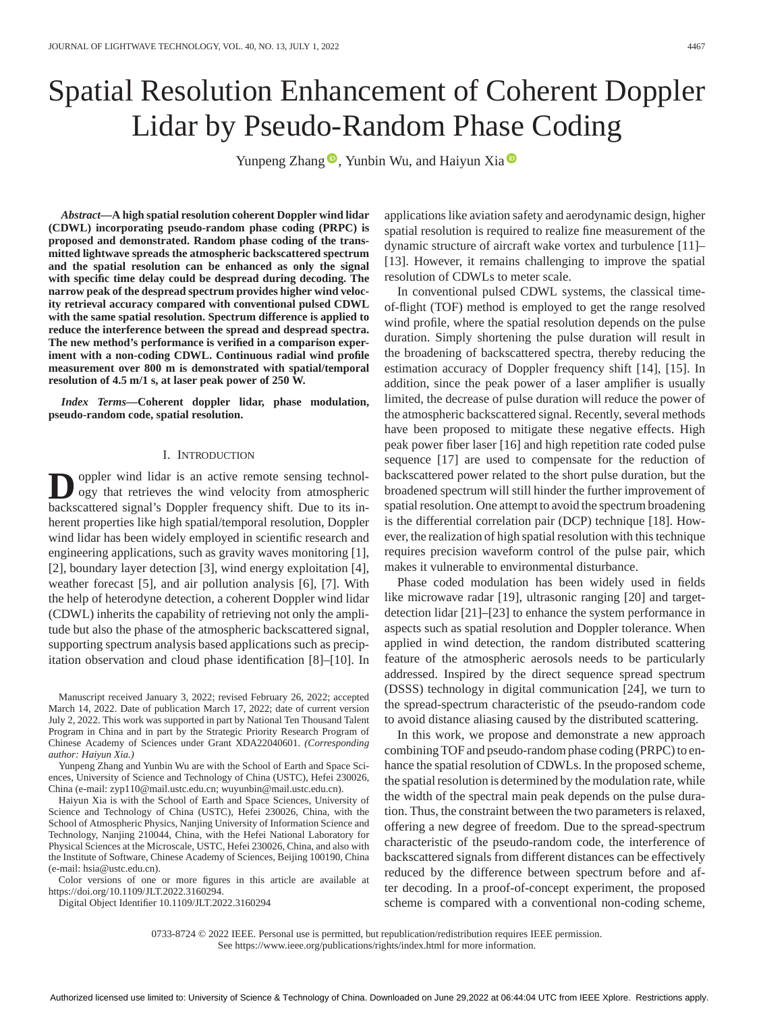# Spatial Resolution Enhancement of Coherent Doppler Lidar by Pseudo-Random Phase Coding

Yunpeng Zhang  $\bullet$ [,](https://orcid.org/0000-0003-0255-3226) Yunbin Wu, and Haiyun Xia  $\bullet$ 

*Abstract***—A high spatial resolution coherent Doppler wind lidar (CDWL) incorporating pseudo-random phase coding (PRPC) is proposed and demonstrated. Random phase coding of the transmitted lightwave spreads the atmospheric backscattered spectrum and the spatial resolution can be enhanced as only the signal with specific time delay could be despread during decoding. The narrow peak of the despread spectrum provides higher wind velocity retrieval accuracy compared with conventional pulsed CDWL with the same spatial resolution. Spectrum difference is applied to reduce the interference between the spread and despread spectra. The new method's performance is verified in a comparison experiment with a non-coding CDWL. Continuous radial wind profile measurement over 800 m is demonstrated with spatial/temporal resolution of 4.5 m/1 s, at laser peak power of 250 W.**

*Index Terms***—Coherent doppler lidar, phase modulation, pseudo-random code, spatial resolution.**

### I. INTRODUCTION

**D**oppler wind lidar is an active remote sensing technology that retrieves the wind velocity from atmospheric<br>beckscattered simply Doppler froguency shift. Due to its in backscattered signal's Doppler frequency shift. Due to its inherent properties like high spatial/temporal resolution, Doppler wind lidar has been widely employed in scientific research and engineering applications, such as gravity waves monitoring [1], [2], boundary layer detection [3], wind energy exploitation [4], weather forecast [5], and air pollution analysis [6], [7]. With the help of heterodyne detection, a coherent Doppler wind lidar (CDWL) inherits the capability of retrieving not only the amplitude but also the phase of the atmospheric backscattered signal, supporting spectrum analysis based applications such as precipitation observation and cloud phase identification [8]–[10]. In

Manuscript received January 3, 2022; revised February 26, 2022; accepted March 14, 2022. Date of publication March 17, 2022; date of current version July 2, 2022. This work was supported in part by National Ten Thousand Talent Program in China and in part by the Strategic Priority Research Program of Chinese Academy of Sciences under Grant XDA22040601. *(Corresponding author: Haiyun Xia.)*

Yunpeng Zhang and Yunbin Wu are with the School of Earth and Space Sciences, University of Science and Technology of China (USTC), Hefei 230026, China (e-mail: [zyp110@mail.ustc.edu.cn;](mailto:zyp110@mail.ustc.edu.cn) [wuyunbin@mail.ustc.edu.cn\)](mailto:wuyunbin@mail.ustc.edu.cn).

Haiyun Xia is with the School of Earth and Space Sciences, University of Science and Technology of China (USTC), Hefei 230026, China, with the School of Atmospheric Physics, Nanjing University of Information Science and Technology, Nanjing 210044, China, with the Hefei National Laboratory for Physical Sciences at the Microscale, USTC, Hefei 230026, China, and also with the Institute of Software, Chinese Academy of Sciences, Beijing 100190, China (e-mail: [hsia@ustc.edu.cn\)](mailto:hsia@ustc.edu.cn).

Color versions of one or more figures in this article are available at [https://doi.org/10.1109/JLT.2022.3160294.](https://doi.org/10.1109/JLT.2022.3160294)

Digital Object Identifier 10.1109/JLT.2022.3160294

applications like aviation safety and aerodynamic design, higher spatial resolution is required to realize fine measurement of the dynamic structure of aircraft wake vortex and turbulence [11]– [13]. However, it remains challenging to improve the spatial resolution of CDWLs to meter scale.

In conventional pulsed CDWL systems, the classical timeof-flight (TOF) method is employed to get the range resolved wind profile, where the spatial resolution depends on the pulse duration. Simply shortening the pulse duration will result in the broadening of backscattered spectra, thereby reducing the estimation accuracy of Doppler frequency shift [14], [15]. In addition, since the peak power of a laser amplifier is usually limited, the decrease of pulse duration will reduce the power of the atmospheric backscattered signal. Recently, several methods have been proposed to mitigate these negative effects. High peak power fiber laser [16] and high repetition rate coded pulse sequence [17] are used to compensate for the reduction of backscattered power related to the short pulse duration, but the broadened spectrum will still hinder the further improvement of spatial resolution. One attempt to avoid the spectrum broadening is the differential correlation pair (DCP) technique [18]. However, the realization of high spatial resolution with this technique requires precision waveform control of the pulse pair, which makes it vulnerable to environmental disturbance.

Phase coded modulation has been widely used in fields like microwave radar [19], ultrasonic ranging [20] and targetdetection lidar [21]–[23] to enhance the system performance in aspects such as spatial resolution and Doppler tolerance. When applied in wind detection, the random distributed scattering feature of the atmospheric aerosols needs to be particularly addressed. Inspired by the direct sequence spread spectrum (DSSS) technology in digital communication [24], we turn to the spread-spectrum characteristic of the pseudo-random code to avoid distance aliasing caused by the distributed scattering.

In this work, we propose and demonstrate a new approach combining TOF and pseudo-random phase coding (PRPC) to enhance the spatial resolution of CDWLs. In the proposed scheme, the spatial resolution is determined by the modulation rate, while the width of the spectral main peak depends on the pulse duration. Thus, the constraint between the two parameters is relaxed, offering a new degree of freedom. Due to the spread-spectrum characteristic of the pseudo-random code, the interference of backscattered signals from different distances can be effectively reduced by the difference between spectrum before and after decoding. In a proof-of-concept experiment, the proposed scheme is compared with a conventional non-coding scheme,

0733-8724 © 2022 IEEE. Personal use is permitted, but republication/redistribution requires IEEE permission.

See https://www.ieee.org/publications/rights/index.html for more information.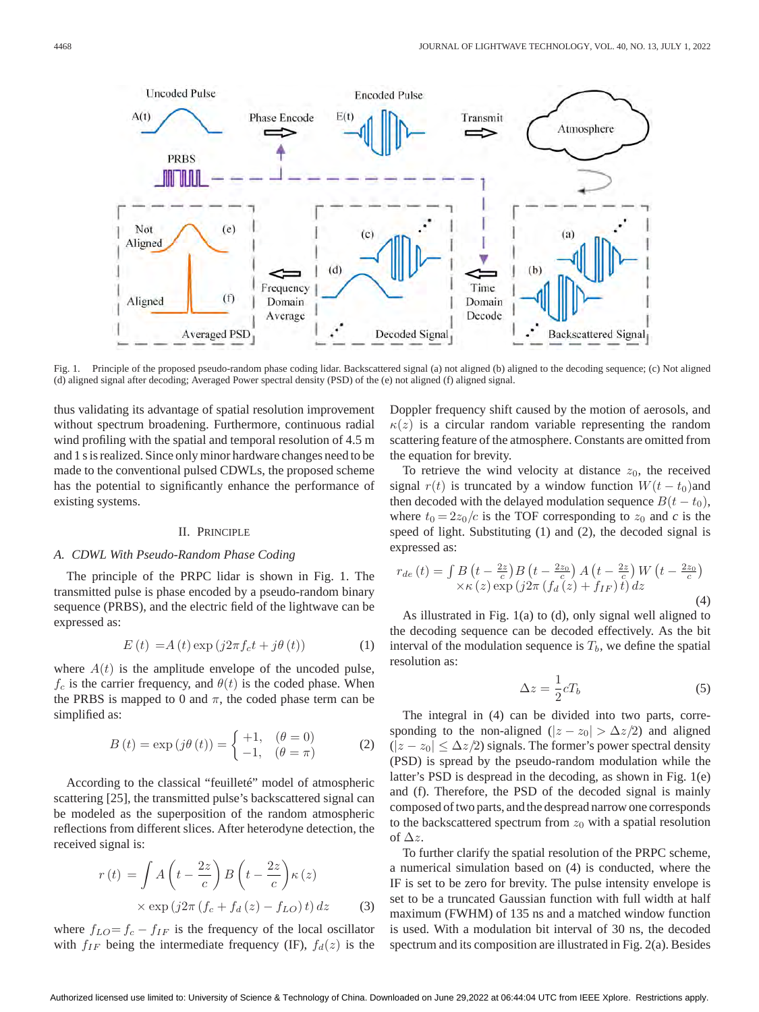

Fig. 1. Principle of the proposed pseudo-random phase coding lidar. Backscattered signal (a) not aligned (b) aligned to the decoding sequence; (c) Not aligned (d) aligned signal after decoding; Averaged Power spectral density (PSD) of the (e) not aligned (f) aligned signal.

thus validating its advantage of spatial resolution improvement without spectrum broadening. Furthermore, continuous radial wind profiling with the spatial and temporal resolution of 4.5 m and 1 s is realized. Since only minor hardware changes need to be made to the conventional pulsed CDWLs, the proposed scheme has the potential to significantly enhance the performance of existing systems.

### II. PRINCIPLE

## *A. CDWL With Pseudo-Random Phase Coding*

The principle of the PRPC lidar is shown in Fig. 1. The transmitted pulse is phase encoded by a pseudo-random binary sequence (PRBS), and the electric field of the lightwave can be expressed as:

$$
E(t) = A(t) \exp(j2\pi f_c t + j\theta(t))
$$
 (1)

where  $A(t)$  is the amplitude envelope of the uncoded pulse,  $f_c$  is the carrier frequency, and  $\theta(t)$  is the coded phase. When the PRBS is mapped to 0 and  $\pi$ , the coded phase term can be simplified as:

$$
B(t) = \exp(j\theta(t)) = \begin{cases} +1, & (\theta = 0) \\ -1, & (\theta = \pi) \end{cases}
$$
 (2)

According to the classical "feuilleté" model of atmospheric scattering [25], the transmitted pulse's backscattered signal can be modeled as the superposition of the random atmospheric reflections from different slices. After heterodyne detection, the received signal is:

$$
r(t) = \int A\left(t - \frac{2z}{c}\right) B\left(t - \frac{2z}{c}\right) \kappa(z)
$$

$$
\times \exp\left(j2\pi\left(f_c + f_d(z) - f_{LO}\right)t\right) dz \tag{3}
$$

where  $f_{LO} = f_c - f_{IF}$  is the frequency of the local oscillator with  $f_{IF}$  being the intermediate frequency (IF),  $f_d(z)$  is the

Doppler frequency shift caused by the motion of aerosols, and  $\kappa(z)$  is a circular random variable representing the random scattering feature of the atmosphere. Constants are omitted from the equation for brevity.

To retrieve the wind velocity at distance  $z_0$ , the received signal  $r(t)$  is truncated by a window function  $W(t - t_0)$  and then decoded with the delayed modulation sequence  $B(t - t_0)$ , where  $t_0 = 2z_0/c$  is the TOF corresponding to  $z_0$  and *c* is the speed of light. Substituting (1) and (2), the decoded signal is expressed as:

$$
r_{de}(t) = \int B\left(t - \frac{2z}{c}\right)B\left(t - \frac{2z_0}{c}\right)A\left(t - \frac{2z}{c}\right)W\left(t - \frac{2z_0}{c}\right)
$$

$$
\times \kappa(z) \exp\left(j2\pi\left(f_d(z) + f_{IF}\right)t\right)dz
$$
(4)

As illustrated in Fig. 1(a) to (d), only signal well aligned to the decoding sequence can be decoded effectively. As the bit interval of the modulation sequence is  $T_b$ , we define the spatial resolution as:

$$
\Delta z = \frac{1}{2}cT_b \tag{5}
$$

The integral in (4) can be divided into two parts, corresponding to the non-aligned  $(|z - z_0| > \Delta z/2)$  and aligned  $(|z - z_0| \leq \Delta z/2)$  signals. The former's power spectral density (PSD) is spread by the pseudo-random modulation while the latter's PSD is despread in the decoding, as shown in Fig. 1(e) and (f). Therefore, the PSD of the decoded signal is mainly composed of two parts, and the despread narrow one corresponds to the backscattered spectrum from  $z_0$  with a spatial resolution of  $\Delta z$ .

To further clarify the spatial resolution of the PRPC scheme, a numerical simulation based on (4) is conducted, where the IF is set to be zero for brevity. The pulse intensity envelope is set to be a truncated Gaussian function with full width at half maximum (FWHM) of 135 ns and a matched window function is used. With a modulation bit interval of 30 ns, the decoded spectrum and its composition are illustrated in Fig. 2(a). Besides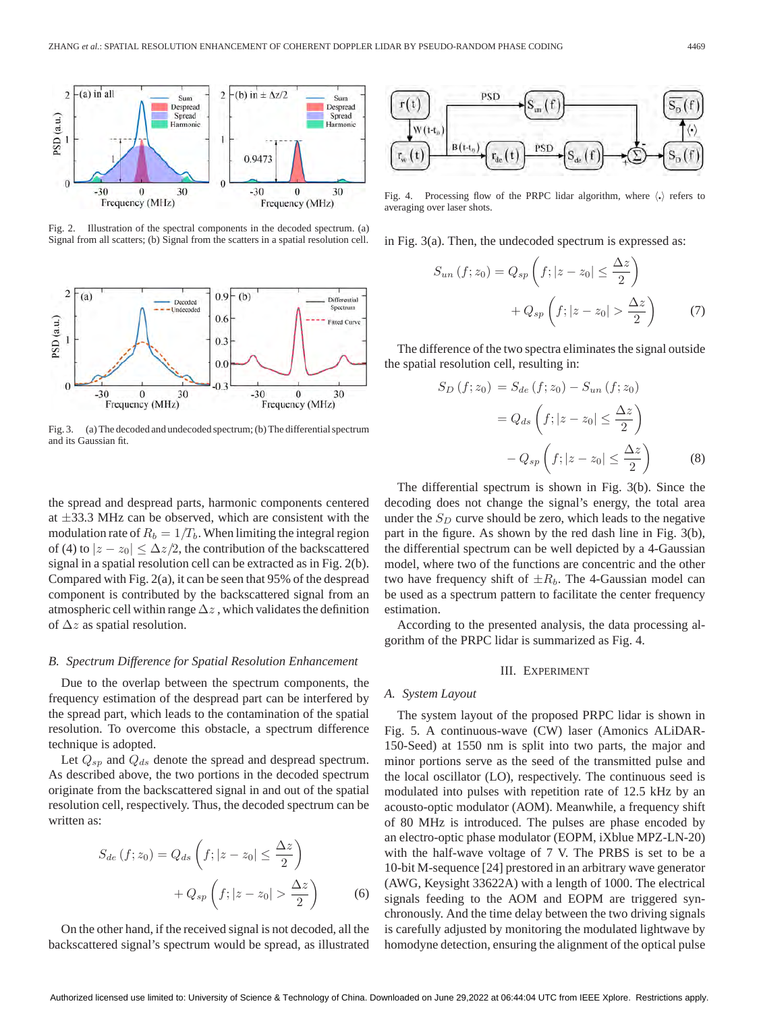

Fig. 2. Illustration of the spectral components in the decoded spectrum. (a) Signal from all scatters; (b) Signal from the scatters in a spatial resolution cell.



Fig. 3. (a) The decoded and undecoded spectrum; (b) The differential spectrum and its Gaussian fit.

the spread and despread parts, harmonic components centered at  $\pm$ 33.3 MHz can be observed, which are consistent with the modulation rate of  $R_b = 1/T_b$ . When limiting the integral region of (4) to  $|z - z_0| \leq \Delta z/2$ , the contribution of the backscattered signal in a spatial resolution cell can be extracted as in Fig. 2(b). Compared with Fig. 2(a), it can be seen that 95% of the despread component is contributed by the backscattered signal from an atmospheric cell within range  $\Delta z$ , which validates the definition of  $\Delta z$  as spatial resolution.

## *B. Spectrum Difference for Spatial Resolution Enhancement*

Due to the overlap between the spectrum components, the frequency estimation of the despread part can be interfered by the spread part, which leads to the contamination of the spatial resolution. To overcome this obstacle, a spectrum difference technique is adopted.

Let  $Q_{sp}$  and  $Q_{ds}$  denote the spread and despread spectrum. As described above, the two portions in the decoded spectrum originate from the backscattered signal in and out of the spatial resolution cell, respectively. Thus, the decoded spectrum can be written as:

$$
S_{de}(f; z_0) = Q_{ds}\left(f; |z - z_0| \le \frac{\Delta z}{2}\right)
$$

$$
+ Q_{sp}\left(f; |z - z_0| > \frac{\Delta z}{2}\right)
$$
(6)

On the other hand, if the received signal is not decoded, all the backscattered signal's spectrum would be spread, as illustrated



Fig. 4. Processing flow of the PRPC lidar algorithm, where  $\langle \cdot \rangle$  refers to averaging over laser shots.

in Fig. 3(a). Then, the undecoded spectrum is expressed as:

$$
S_{un}(f; z_0) = Q_{sp}\left(f; |z - z_0| \le \frac{\Delta z}{2}\right)
$$

$$
+ Q_{sp}\left(f; |z - z_0| > \frac{\Delta z}{2}\right) \tag{7}
$$

The difference of the two spectra eliminates the signal outside the spatial resolution cell, resulting in:

$$
S_D(f; z_0) = S_{de}(f; z_0) - S_{un}(f; z_0)
$$

$$
= Q_{ds}\left(f; |z - z_0| \le \frac{\Delta z}{2}\right)
$$

$$
- Q_{sp}\left(f; |z - z_0| \le \frac{\Delta z}{2}\right) \tag{8}
$$

The differential spectrum is shown in Fig. 3(b). Since the decoding does not change the signal's energy, the total area under the  $S_D$  curve should be zero, which leads to the negative part in the figure. As shown by the red dash line in Fig. 3(b), the differential spectrum can be well depicted by a 4-Gaussian model, where two of the functions are concentric and the other two have frequency shift of  $\pm R_b$ . The 4-Gaussian model can be used as a spectrum pattern to facilitate the center frequency estimation.

According to the presented analysis, the data processing algorithm of the PRPC lidar is summarized as Fig. 4.

#### III. EXPERIMENT

## *A. System Layout*

The system layout of the proposed PRPC lidar is shown in Fig. 5. A continuous-wave (CW) laser (Amonics ALiDAR-150-Seed) at 1550 nm is split into two parts, the major and minor portions serve as the seed of the transmitted pulse and the local oscillator (LO), respectively. The continuous seed is modulated into pulses with repetition rate of 12.5 kHz by an acousto-optic modulator (AOM). Meanwhile, a frequency shift of 80 MHz is introduced. The pulses are phase encoded by an electro-optic phase modulator (EOPM, iXblue MPZ-LN-20) with the half-wave voltage of 7 V. The PRBS is set to be a 10-bit M-sequence [24] prestored in an arbitrary wave generator (AWG, Keysight 33622A) with a length of 1000. The electrical signals feeding to the AOM and EOPM are triggered synchronously. And the time delay between the two driving signals is carefully adjusted by monitoring the modulated lightwave by homodyne detection, ensuring the alignment of the optical pulse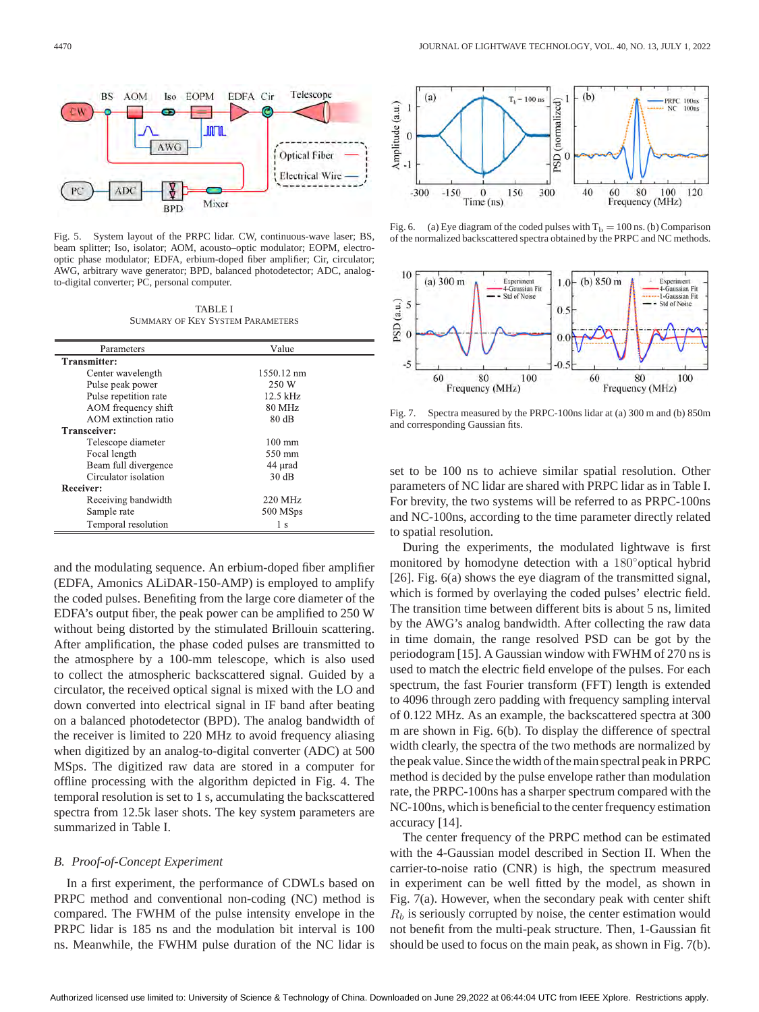

Fig. 5. System layout of the PRPC lidar. CW, continuous-wave laser; BS, beam splitter; Iso, isolator; AOM, acousto–optic modulator; EOPM, electrooptic phase modulator; EDFA, erbium-doped fiber amplifier; Cir, circulator; AWG, arbitrary wave generator; BPD, balanced photodetector; ADC, analogto-digital converter; PC, personal computer.

TABLE I SUMMARY OF KEY SYSTEM PARAMETERS

| Parameters            | Value            |
|-----------------------|------------------|
| Transmitter:          |                  |
| Center wavelength     | 1550.12 nm       |
| Pulse peak power      | 250 W            |
| Pulse repetition rate | $12.5$ kHz       |
| AOM frequency shift   | 80 MHz           |
| AOM extinction ratio  | $80 \text{ dB}$  |
| Transceiver:          |                  |
| Telescope diameter    | $100 \text{ mm}$ |
| Focal length          | 550 mm           |
| Beam full divergence  | 44 µrad          |
| Circulator isolation  | 30dB             |
| Receiver:             |                  |
| Receiving bandwidth   | 220 MHz          |
| Sample rate           | 500 MSps         |
| Temporal resolution   | 1 <sub>s</sub>   |

and the modulating sequence. An erbium-doped fiber amplifier (EDFA, Amonics ALiDAR-150-AMP) is employed to amplify the coded pulses. Benefiting from the large core diameter of the EDFA's output fiber, the peak power can be amplified to 250 W without being distorted by the stimulated Brillouin scattering. After amplification, the phase coded pulses are transmitted to the atmosphere by a 100-mm telescope, which is also used to collect the atmospheric backscattered signal. Guided by a circulator, the received optical signal is mixed with the LO and down converted into electrical signal in IF band after beating on a balanced photodetector (BPD). The analog bandwidth of the receiver is limited to 220 MHz to avoid frequency aliasing when digitized by an analog-to-digital converter (ADC) at 500 MSps. The digitized raw data are stored in a computer for offline processing with the algorithm depicted in Fig. 4. The temporal resolution is set to 1 s, accumulating the backscattered spectra from 12.5k laser shots. The key system parameters are summarized in Table I.

#### *B. Proof-of-Concept Experiment*

In a first experiment, the performance of CDWLs based on PRPC method and conventional non-coding (NC) method is compared. The FWHM of the pulse intensity envelope in the PRPC lidar is 185 ns and the modulation bit interval is 100 ns. Meanwhile, the FWHM pulse duration of the NC lidar is



Fig. 6. (a) Eye diagram of the coded pulses with  $T_b = 100$  ns. (b) Comparison of the normalized backscattered spectra obtained by the PRPC and NC methods.



Fig. 7. Spectra measured by the PRPC-100ns lidar at (a) 300 m and (b) 850m and corresponding Gaussian fits.

set to be 100 ns to achieve similar spatial resolution. Other parameters of NC lidar are shared with PRPC lidar as in Table I. For brevity, the two systems will be referred to as PRPC-100ns and NC-100ns, according to the time parameter directly related to spatial resolution.

During the experiments, the modulated lightwave is first monitored by homodyne detection with a 180◦optical hybrid [26]. Fig. 6(a) shows the eye diagram of the transmitted signal, which is formed by overlaying the coded pulses' electric field. The transition time between different bits is about 5 ns, limited by the AWG's analog bandwidth. After collecting the raw data in time domain, the range resolved PSD can be got by the periodogram [15]. A Gaussian window with FWHM of 270 ns is used to match the electric field envelope of the pulses. For each spectrum, the fast Fourier transform (FFT) length is extended to 4096 through zero padding with frequency sampling interval of 0.122 MHz. As an example, the backscattered spectra at 300 m are shown in Fig. 6(b). To display the difference of spectral width clearly, the spectra of the two methods are normalized by the peak value. Since the width of the main spectral peak in PRPC method is decided by the pulse envelope rather than modulation rate, the PRPC-100ns has a sharper spectrum compared with the NC-100ns, which is beneficial to the center frequency estimation accuracy [14].

The center frequency of the PRPC method can be estimated with the 4-Gaussian model described in Section II. When the carrier-to-noise ratio (CNR) is high, the spectrum measured in experiment can be well fitted by the model, as shown in Fig. 7(a). However, when the secondary peak with center shift  $R_b$  is seriously corrupted by noise, the center estimation would not benefit from the multi-peak structure. Then, 1-Gaussian fit should be used to focus on the main peak, as shown in Fig. 7(b).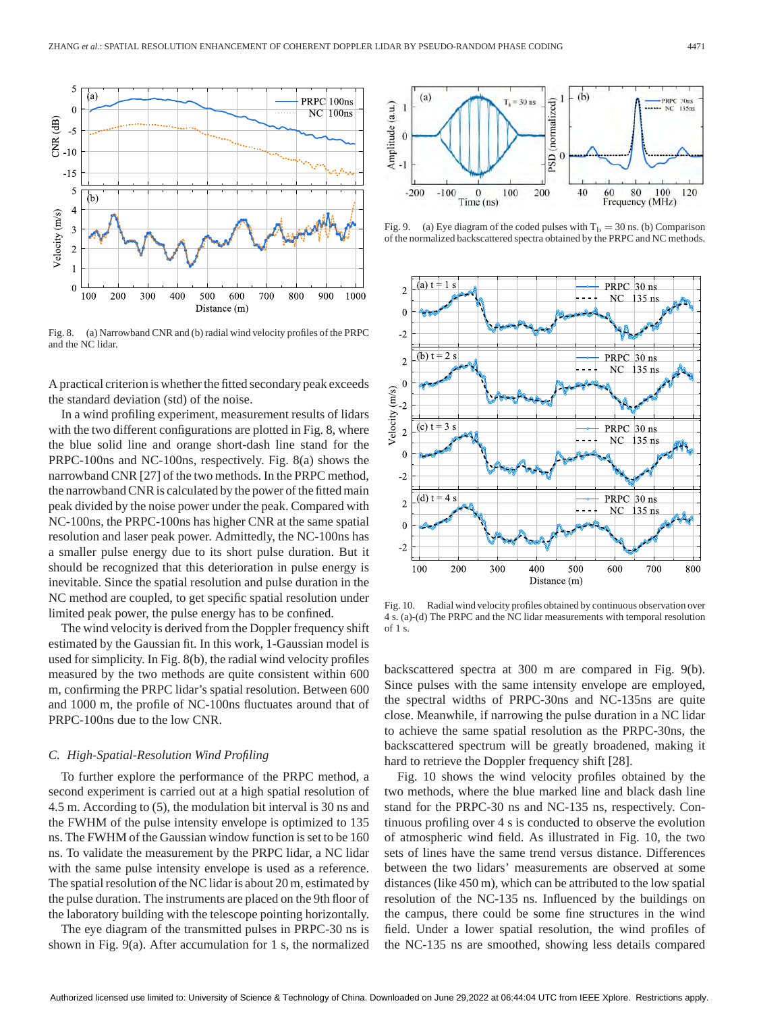

Fig. 8. (a) Narrowband CNR and (b) radial wind velocity profiles of the PRPC and the NC lidar.

A practical criterion is whether the fitted secondary peak exceeds the standard deviation (std) of the noise.

In a wind profiling experiment, measurement results of lidars with the two different configurations are plotted in Fig. 8, where the blue solid line and orange short-dash line stand for the PRPC-100ns and NC-100ns, respectively. Fig. 8(a) shows the narrowband CNR [27] of the two methods. In the PRPC method, the narrowband CNR is calculated by the power of the fitted main peak divided by the noise power under the peak. Compared with NC-100ns, the PRPC-100ns has higher CNR at the same spatial resolution and laser peak power. Admittedly, the NC-100ns has a smaller pulse energy due to its short pulse duration. But it should be recognized that this deterioration in pulse energy is inevitable. Since the spatial resolution and pulse duration in the NC method are coupled, to get specific spatial resolution under limited peak power, the pulse energy has to be confined.

The wind velocity is derived from the Doppler frequency shift estimated by the Gaussian fit. In this work, 1-Gaussian model is used for simplicity. In Fig. 8(b), the radial wind velocity profiles measured by the two methods are quite consistent within 600 m, confirming the PRPC lidar's spatial resolution. Between 600 and 1000 m, the profile of NC-100ns fluctuates around that of PRPC-100ns due to the low CNR.

### *C. High-Spatial-Resolution Wind Profiling*

To further explore the performance of the PRPC method, a second experiment is carried out at a high spatial resolution of 4.5 m. According to (5), the modulation bit interval is 30 ns and the FWHM of the pulse intensity envelope is optimized to 135 ns. The FWHM of the Gaussian window function is set to be 160 ns. To validate the measurement by the PRPC lidar, a NC lidar with the same pulse intensity envelope is used as a reference. The spatial resolution of the NC lidar is about 20 m, estimated by the pulse duration. The instruments are placed on the 9th floor of the laboratory building with the telescope pointing horizontally.

The eye diagram of the transmitted pulses in PRPC-30 ns is shown in Fig. 9(a). After accumulation for 1 s, the normalized



Fig. 9. (a) Eye diagram of the coded pulses with  $T_b = 30$  ns. (b) Comparison of the normalized backscattered spectra obtained by the PRPC and NC methods.



Fig. 10. Radial wind velocity profiles obtained by continuous observation over 4 s. (a)-(d) The PRPC and the NC lidar measurements with temporal resolution of 1 s.

backscattered spectra at 300 m are compared in Fig. 9(b). Since pulses with the same intensity envelope are employed, the spectral widths of PRPC-30ns and NC-135ns are quite close. Meanwhile, if narrowing the pulse duration in a NC lidar to achieve the same spatial resolution as the PRPC-30ns, the backscattered spectrum will be greatly broadened, making it hard to retrieve the Doppler frequency shift [28].

Fig. 10 shows the wind velocity profiles obtained by the two methods, where the blue marked line and black dash line stand for the PRPC-30 ns and NC-135 ns, respectively. Continuous profiling over 4 s is conducted to observe the evolution of atmospheric wind field. As illustrated in Fig. 10, the two sets of lines have the same trend versus distance. Differences between the two lidars' measurements are observed at some distances (like 450 m), which can be attributed to the low spatial resolution of the NC-135 ns. Influenced by the buildings on the campus, there could be some fine structures in the wind field. Under a lower spatial resolution, the wind profiles of the NC-135 ns are smoothed, showing less details compared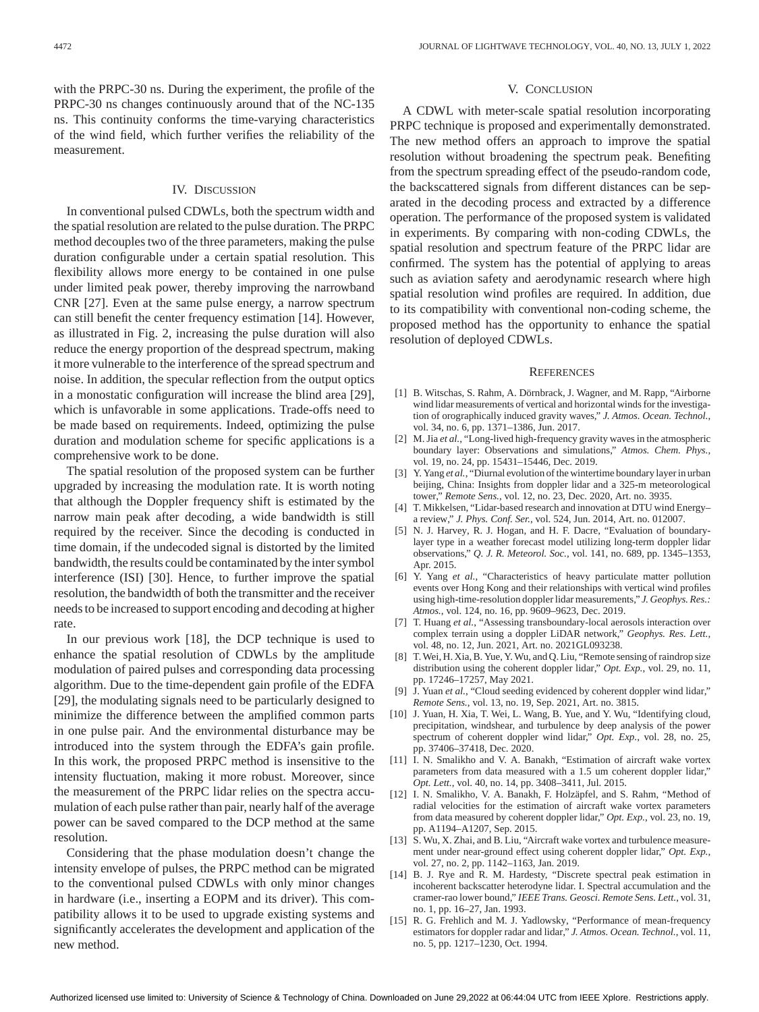with the PRPC-30 ns. During the experiment, the profile of the PRPC-30 ns changes continuously around that of the NC-135 ns. This continuity conforms the time-varying characteristics of the wind field, which further verifies the reliability of the measurement.

## IV. DISCUSSION

In conventional pulsed CDWLs, both the spectrum width and the spatial resolution are related to the pulse duration. The PRPC method decouples two of the three parameters, making the pulse duration configurable under a certain spatial resolution. This flexibility allows more energy to be contained in one pulse under limited peak power, thereby improving the narrowband CNR [27]. Even at the same pulse energy, a narrow spectrum can still benefit the center frequency estimation [14]. However, as illustrated in Fig. 2, increasing the pulse duration will also reduce the energy proportion of the despread spectrum, making it more vulnerable to the interference of the spread spectrum and noise. In addition, the specular reflection from the output optics in a monostatic configuration will increase the blind area [29], which is unfavorable in some applications. Trade-offs need to be made based on requirements. Indeed, optimizing the pulse duration and modulation scheme for specific applications is a comprehensive work to be done.

The spatial resolution of the proposed system can be further upgraded by increasing the modulation rate. It is worth noting that although the Doppler frequency shift is estimated by the narrow main peak after decoding, a wide bandwidth is still required by the receiver. Since the decoding is conducted in time domain, if the undecoded signal is distorted by the limited bandwidth, the results could be contaminated by the inter symbol interference (ISI) [30]. Hence, to further improve the spatial resolution, the bandwidth of both the transmitter and the receiver needs to be increased to support encoding and decoding at higher rate.

In our previous work [18], the DCP technique is used to enhance the spatial resolution of CDWLs by the amplitude modulation of paired pulses and corresponding data processing algorithm. Due to the time-dependent gain profile of the EDFA [29], the modulating signals need to be particularly designed to minimize the difference between the amplified common parts in one pulse pair. And the environmental disturbance may be introduced into the system through the EDFA's gain profile. In this work, the proposed PRPC method is insensitive to the intensity fluctuation, making it more robust. Moreover, since the measurement of the PRPC lidar relies on the spectra accumulation of each pulse rather than pair, nearly half of the average power can be saved compared to the DCP method at the same resolution.

Considering that the phase modulation doesn't change the intensity envelope of pulses, the PRPC method can be migrated to the conventional pulsed CDWLs with only minor changes in hardware (i.e., inserting a EOPM and its driver). This compatibility allows it to be used to upgrade existing systems and significantly accelerates the development and application of the new method.

#### V. CONCLUSION

A CDWL with meter-scale spatial resolution incorporating PRPC technique is proposed and experimentally demonstrated. The new method offers an approach to improve the spatial resolution without broadening the spectrum peak. Benefiting from the spectrum spreading effect of the pseudo-random code, the backscattered signals from different distances can be separated in the decoding process and extracted by a difference operation. The performance of the proposed system is validated in experiments. By comparing with non-coding CDWLs, the spatial resolution and spectrum feature of the PRPC lidar are confirmed. The system has the potential of applying to areas such as aviation safety and aerodynamic research where high spatial resolution wind profiles are required. In addition, due to its compatibility with conventional non-coding scheme, the proposed method has the opportunity to enhance the spatial resolution of deployed CDWLs.

#### **REFERENCES**

- [1] B. Witschas, S. Rahm, A. Dörnbrack, J. Wagner, and M. Rapp, "Airborne wind lidar measurements of vertical and horizontal winds for the investigation of orographically induced gravity waves," *J. Atmos. Ocean. Technol.*, vol. 34, no. 6, pp. 1371–1386, Jun. 2017.
- [2] M. Jia *et al.*, "Long-lived high-frequency gravity waves in the atmospheric boundary layer: Observations and simulations," *Atmos. Chem. Phys.,* vol. 19, no. 24, pp. 15431–15446, Dec. 2019.
- [3] Y. Yang *et al.*, "Diurnal evolution of the wintertime boundary layer in urban beijing, China: Insights from doppler lidar and a 325-m meteorological tower," *Remote Sens.*, vol. 12, no. 23, Dec. 2020, Art. no. 3935.
- [4] T. Mikkelsen, "Lidar-based research and innovation at DTU wind Energy– a review," *J. Phys. Conf. Ser.*, vol. 524, Jun. 2014, Art. no. 012007.
- [5] N. J. Harvey, R. J. Hogan, and H. F. Dacre, "Evaluation of boundarylayer type in a weather forecast model utilizing long-term doppler lidar observations," *Q. J. R. Meteorol. Soc.*, vol. 141, no. 689, pp. 1345–1353, Apr. 2015.
- [6] Y. Yang *et al.*, "Characteristics of heavy particulate matter pollution events over Hong Kong and their relationships with vertical wind profiles using high-time-resolution doppler lidar measurements," *J. Geophys. Res.: Atmos.*, vol. 124, no. 16, pp. 9609–9623, Dec. 2019.
- [7] T. Huang *et al.*, "Assessing transboundary-local aerosols interaction over complex terrain using a doppler LiDAR network," *Geophys. Res. Lett.,* vol. 48, no. 12, Jun. 2021, Art. no. 2021GL093238.
- [8] T.Wei, H. Xia, B. Yue, Y.Wu, and Q. Liu, "Remote sensing of raindrop size distribution using the coherent doppler lidar," *Opt. Exp.*, vol. 29, no. 11, pp. 17246–17257, May 2021.
- [9] J. Yuan *et al.*, "Cloud seeding evidenced by coherent doppler wind lidar," *Remote Sens.*, vol. 13, no. 19, Sep. 2021, Art. no. 3815.
- [10] J. Yuan, H. Xia, T. Wei, L. Wang, B. Yue, and Y. Wu, "Identifying cloud, precipitation, windshear, and turbulence by deep analysis of the power spectrum of coherent doppler wind lidar," *Opt. Exp.*, vol. 28, no. 25, pp. 37406–37418, Dec. 2020.
- [11] I. N. Smalikho and V. A. Banakh, "Estimation of aircraft wake vortex parameters from data measured with a 1.5 um coherent doppler lidar," *Opt. Lett.*, vol. 40, no. 14, pp. 3408–3411, Jul. 2015.
- [12] I. N. Smalikho, V. A. Banakh, F. Holzäpfel, and S. Rahm, "Method of radial velocities for the estimation of aircraft wake vortex parameters from data measured by coherent doppler lidar," *Opt. Exp.*, vol. 23, no. 19, pp. A1194–A1207, Sep. 2015.
- [13] S. Wu, X. Zhai, and B. Liu, "Aircraft wake vortex and turbulence measurement under near-ground effect using coherent doppler lidar," *Opt. Exp.,* vol. 27, no. 2, pp. 1142–1163, Jan. 2019.
- [14] B. J. Rye and R. M. Hardesty, "Discrete spectral peak estimation in incoherent backscatter heterodyne lidar. I. Spectral accumulation and the cramer-rao lower bound," *IEEE Trans. Geosci. Remote Sens. Lett.*, vol. 31, no. 1, pp. 16–27, Jan. 1993.
- [15] R. G. Frehlich and M. J. Yadlowsky, "Performance of mean-frequency estimators for doppler radar and lidar," *J. Atmos. Ocean. Technol.*, vol. 11, no. 5, pp. 1217–1230, Oct. 1994.